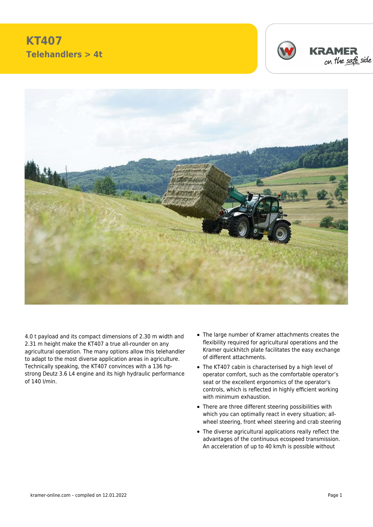## **KT407 Telehandlers > 4t**







4.0 t payload and its compact dimensions of 2.30 m width and 2.31 m height make the KT407 a true all-rounder on any agricultural operation. The many options allow this telehandler to adapt to the most diverse application areas in agriculture. Technically speaking, the KT407 convinces with a 136 hpstrong Deutz 3.6 L4 engine and its high hydraulic performance of 140 l/min.

- The large number of Kramer attachments creates the flexibility required for agricultural operations and the Kramer quickhitch plate facilitates the easy exchange of different attachments.
- The KT407 cabin is characterised by a high level of operator comfort, such as the comfortable operator's seat or the excellent ergonomics of the operator's controls, which is reflected in highly efficient working with minimum exhaustion.
- There are three different steering possibilities with which you can optimally react in every situation; allwheel steering, front wheel steering and crab steering
- The diverse agricultural applications really reflect the advantages of the continuous ecospeed transmission. An acceleration of up to 40 km/h is possible without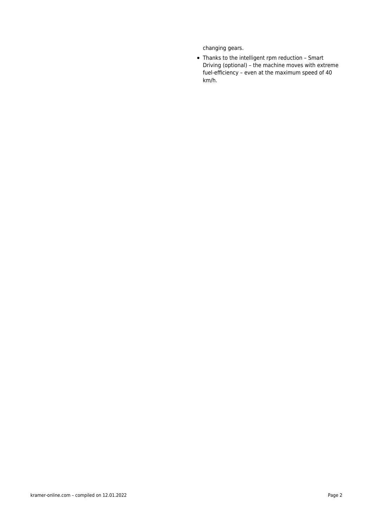changing gears.

Thanks to the intelligent rpm reduction – Smart Driving (optional) – the machine moves with extreme fuel-efficiency – even at the maximum speed of 40 km/h.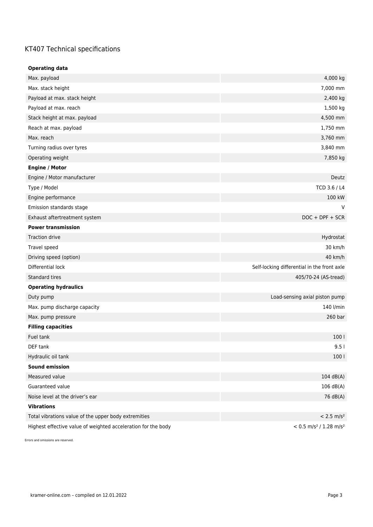## KT407 Technical specifications

| <b>Operating data</b>                                         |                                                  |
|---------------------------------------------------------------|--------------------------------------------------|
| Max. payload                                                  | 4,000 kg                                         |
| Max. stack height                                             | 7,000 mm                                         |
| Payload at max. stack height                                  | 2,400 kg                                         |
| Payload at max. reach                                         | 1,500 kg                                         |
| Stack height at max. payload                                  | 4,500 mm                                         |
| Reach at max. payload                                         | 1,750 mm                                         |
| Max. reach                                                    | 3,760 mm                                         |
| Turning radius over tyres                                     | 3,840 mm                                         |
| Operating weight                                              | 7,850 kg                                         |
| <b>Engine / Motor</b>                                         |                                                  |
| Engine / Motor manufacturer                                   | Deutz                                            |
| Type / Model                                                  | TCD 3.6 / L4                                     |
| Engine performance                                            | 100 kW                                           |
| Emission standards stage                                      | V                                                |
| Exhaust aftertreatment system                                 | $DOC + DPF + SCR$                                |
| <b>Power transmission</b>                                     |                                                  |
| <b>Traction drive</b>                                         | Hydrostat                                        |
| Travel speed                                                  | 30 km/h                                          |
| Driving speed (option)                                        | 40 km/h                                          |
| Differential lock                                             | Self-locking differential in the front axle      |
| Standard tires                                                | 405/70-24 (AS-tread)                             |
| <b>Operating hydraulics</b>                                   |                                                  |
| Duty pump                                                     | Load-sensing axial piston pump                   |
| Max. pump discharge capacity                                  | 140 l/min                                        |
| Max. pump pressure                                            | 260 bar                                          |
| <b>Filling capacities</b>                                     |                                                  |
| Fuel tank                                                     | 100 <sub>1</sub>                                 |
| DEF tank                                                      | 9.5                                              |
| Hydraulic oil tank                                            | 100 <sub>1</sub>                                 |
| <b>Sound emission</b>                                         |                                                  |
| Measured value                                                | 104 dB(A)                                        |
| Guaranteed value                                              | 106 dB(A)                                        |
| Noise level at the driver's ear                               | 76 dB(A)                                         |
| <b>Vibrations</b>                                             |                                                  |
| Total vibrations value of the upper body extremities          | $< 2.5$ m/s <sup>2</sup>                         |
| Highest effective value of weighted acceleration for the body | $< 0.5$ m/s <sup>2</sup> / 1.28 m/s <sup>2</sup> |

Errors and omissions are reserved.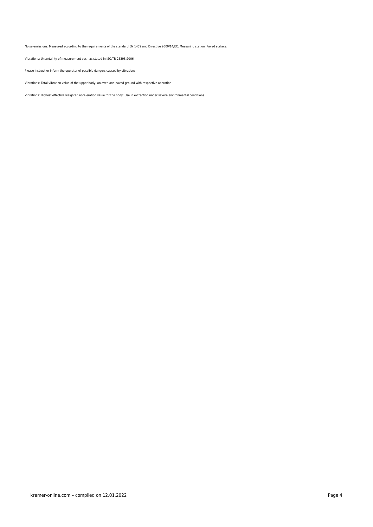Noise emissions: Measured according to the requirements of the standard EN 1459 and Directive 2000/14/EC. Measuring station: Paved surface.

Vibrations: Uncertainty of measurement such as stated in ISO/TR 25398:2006.

Please instruct or inform the operator of possible dangers caused by vibrations.

Vibrations: Total vibration value of the upper body: on even and paved ground with respective operation

Vibrations: Highest effective weighted acceleration value for the body: Use in extraction under severe environmental conditions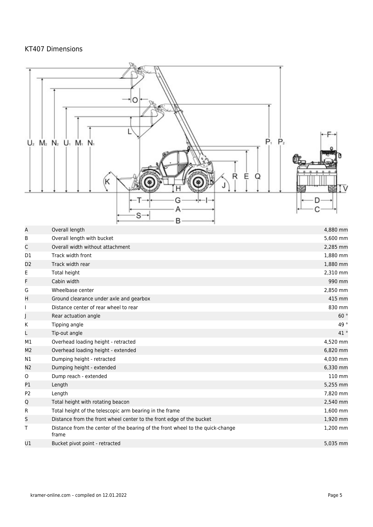## KT407 Dimensions

|                | $P_1$ $P_2$<br>$U_2$ $M_2$ $N_2$ $U_1$ $M_1$ $N_1$                                      |          |
|----------------|-----------------------------------------------------------------------------------------|----------|
|                | Ε<br>R<br>Q<br>κ<br>B                                                                   |          |
| Α              | Overall length                                                                          | 4,880 mm |
| В              | Overall length with bucket                                                              | 5,600 mm |
| С              | Overall width without attachment                                                        | 2,285 mm |
| D <sub>1</sub> | Track width front                                                                       | 1,880 mm |
| D2             | Track width rear                                                                        | 1,880 mm |
| Е              | Total height                                                                            | 2,310 mm |
| F              | Cabin width                                                                             | 990 mm   |
| G              | Wheelbase center                                                                        | 2,850 mm |
| Η              | Ground clearance under axle and gearbox                                                 | 415 mm   |
|                | Distance center of rear wheel to rear                                                   | 830 mm   |
|                | Rear actuation angle                                                                    | 60°      |
| Κ              | Tipping angle                                                                           | 49°      |
|                | Tip-out angle                                                                           | 41°      |
| M1             | Overhead loading height - retracted                                                     | 4,520 mm |
| M2             | Overhead loading height - extended                                                      | 6,820 mm |
| N1             | Dumping height - retracted                                                              | 4,030 mm |
| N2             | Dumping height - extended                                                               | 6,330 mm |
| 0              | Dump reach - extended                                                                   | 110 mm   |
| P1             | Length                                                                                  | 5,255 mm |
| P <sub>2</sub> | Length                                                                                  | 7,820 mm |
| Q              | Total height with rotating beacon                                                       | 2,540 mm |
| R              | Total height of the telescopic arm bearing in the frame                                 | 1,600 mm |
| S              | Distance from the front wheel center to the front edge of the bucket                    | 1,920 mm |
| Т              | Distance from the center of the bearing of the front wheel to the quick-change<br>frame | 1,200 mm |
| U1             | Bucket pivot point - retracted                                                          | 5,035 mm |